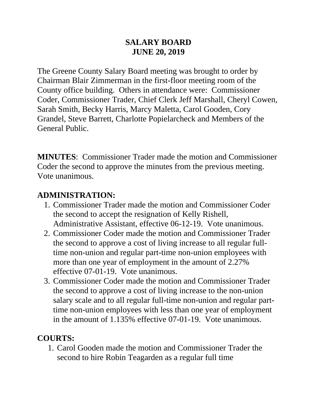#### **SALARY BOARD JUNE 20, 2019**

The Greene County Salary Board meeting was brought to order by Chairman Blair Zimmerman in the first-floor meeting room of the County office building. Others in attendance were: Commissioner Coder, Commissioner Trader, Chief Clerk Jeff Marshall, Cheryl Cowen, Sarah Smith, Becky Harris, Marcy Maletta, Carol Gooden, Cory Grandel, Steve Barrett, Charlotte Popielarcheck and Members of the General Public.

**MINUTES**: Commissioner Trader made the motion and Commissioner Coder the second to approve the minutes from the previous meeting. Vote unanimous.

### **ADMINISTRATION:**

- 1. Commissioner Trader made the motion and Commissioner Coder the second to accept the resignation of Kelly Rishell, Administrative Assistant, effective 06-12-19. Vote unanimous.
- 2. Commissioner Coder made the motion and Commissioner Trader the second to approve a cost of living increase to all regular fulltime non-union and regular part-time non-union employees with more than one year of employment in the amount of 2.27% effective 07-01-19. Vote unanimous.
- 3. Commissioner Coder made the motion and Commissioner Trader the second to approve a cost of living increase to the non-union salary scale and to all regular full-time non-union and regular parttime non-union employees with less than one year of employment in the amount of 1.135% effective 07-01-19. Vote unanimous.

## **COURTS:**

1. Carol Gooden made the motion and Commissioner Trader the second to hire Robin Teagarden as a regular full time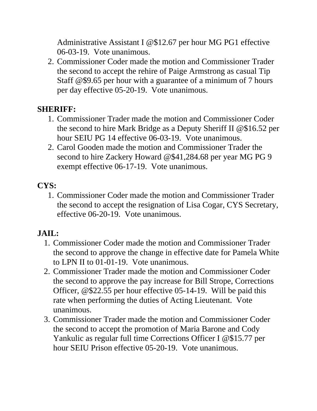Administrative Assistant I @\$12.67 per hour MG PG1 effective 06-03-19. Vote unanimous.

2. Commissioner Coder made the motion and Commissioner Trader the second to accept the rehire of Paige Armstrong as casual Tip Staff @\$9.65 per hour with a guarantee of a minimum of 7 hours per day effective 05-20-19. Vote unanimous.

### **SHERIFF:**

- 1. Commissioner Trader made the motion and Commissioner Coder the second to hire Mark Bridge as a Deputy Sheriff II @\$16.52 per hour SEIU PG 14 effective 06-03-19. Vote unanimous.
- 2. Carol Gooden made the motion and Commissioner Trader the second to hire Zackery Howard @\$41,284.68 per year MG PG 9 exempt effective 06-17-19. Vote unanimous.

# **CYS:**

1. Commissioner Coder made the motion and Commissioner Trader the second to accept the resignation of Lisa Cogar, CYS Secretary, effective 06-20-19. Vote unanimous.

# **JAIL:**

- 1. Commissioner Coder made the motion and Commissioner Trader the second to approve the change in effective date for Pamela White to LPN II to 01-01-19. Vote unanimous.
- 2. Commissioner Trader made the motion and Commissioner Coder the second to approve the pay increase for Bill Strope, Corrections Officer, @\$22.55 per hour effective 05-14-19. Will be paid this rate when performing the duties of Acting Lieutenant. Vote unanimous.
- 3. Commissioner Trader made the motion and Commissioner Coder the second to accept the promotion of Maria Barone and Cody Yankulic as regular full time Corrections Officer I @\$15.77 per hour SEIU Prison effective 05-20-19. Vote unanimous.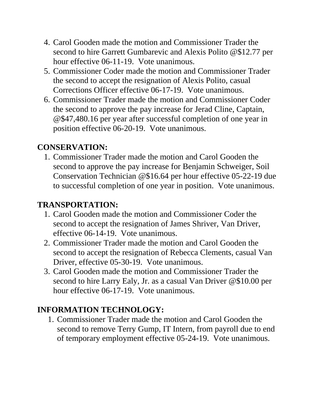- 4. Carol Gooden made the motion and Commissioner Trader the second to hire Garrett Gumbarevic and Alexis Polito @\$12.77 per hour effective 06-11-19. Vote unanimous.
- 5. Commissioner Coder made the motion and Commissioner Trader the second to accept the resignation of Alexis Polito, casual Corrections Officer effective 06-17-19. Vote unanimous.
- 6. Commissioner Trader made the motion and Commissioner Coder the second to approve the pay increase for Jerad Cline, Captain, @\$47,480.16 per year after successful completion of one year in position effective 06-20-19. Vote unanimous.

### **CONSERVATION:**

1. Commissioner Trader made the motion and Carol Gooden the second to approve the pay increase for Benjamin Schweiger, Soil Conservation Technician @\$16.64 per hour effective 05-22-19 due to successful completion of one year in position. Vote unanimous.

### **TRANSPORTATION:**

- 1. Carol Gooden made the motion and Commissioner Coder the second to accept the resignation of James Shriver, Van Driver, effective 06-14-19. Vote unanimous.
- 2. Commissioner Trader made the motion and Carol Gooden the second to accept the resignation of Rebecca Clements, casual Van Driver, effective 05-30-19. Vote unanimous.
- 3. Carol Gooden made the motion and Commissioner Trader the second to hire Larry Ealy, Jr. as a casual Van Driver @\$10.00 per hour effective 06-17-19. Vote unanimous.

## **INFORMATION TECHNOLOGY:**

1. Commissioner Trader made the motion and Carol Gooden the second to remove Terry Gump, IT Intern, from payroll due to end of temporary employment effective 05-24-19. Vote unanimous.